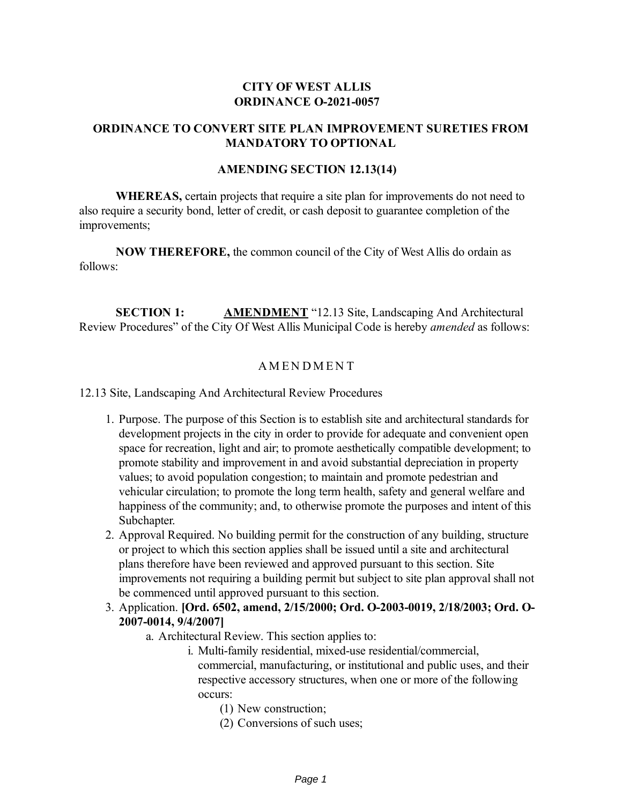## **CITY OF WEST ALLIS ORDINANCE O-2021-0057**

# **ORDINANCE TO CONVERT SITE PLAN IMPROVEMENT SURETIES FROM MANDATORY TO OPTIONAL**

#### **AMENDING SECTION 12.13(14)**

**WHEREAS,** certain projects that require a site plan for improvements do not need to also require a security bond, letter of credit, or cash deposit to guarantee completion of the improvements;

**NOW THEREFORE,** the common council of the City of West Allis do ordain as follows:

**SECTION 1: AMENDMENT** "12.13 Site, Landscaping And Architectural Review Procedures" of the City Of West Allis Municipal Code is hereby *amended* as follows:

## **AMENDMENT**

12.13 Site, Landscaping And Architectural Review Procedures

- 1. Purpose. The purpose of this Section is to establish site and architectural standards for development projects in the city in order to provide for adequate and convenient open space for recreation, light and air; to promote aesthetically compatible development; to promote stability and improvement in and avoid substantial depreciation in property values; to avoid population congestion; to maintain and promote pedestrian and vehicular circulation; to promote the long term health, safety and general welfare and happiness of the community; and, to otherwise promote the purposes and intent of this Subchapter.
- 2. Approval Required. No building permit for the construction of any building, structure or project to which this section applies shall be issued until a site and architectural plans therefore have been reviewed and approved pursuant to this section. Site improvements not requiring a building permit but subject to site plan approval shall not be commenced until approved pursuant to this section.
- 3. Application. **[Ord. 6502, amend, 2/15/2000; Ord. O-2003-0019, 2/18/2003; Ord. O-2007-0014, 9/4/2007]**
	- a. Architectural Review. This section applies to:
		- i. Multi-family residential, mixed-use residential/commercial, commercial, manufacturing, or institutional and public uses, and their respective accessory structures, when one or more of the following occurs:
			- (1) New construction;
			- (2) Conversions of such uses;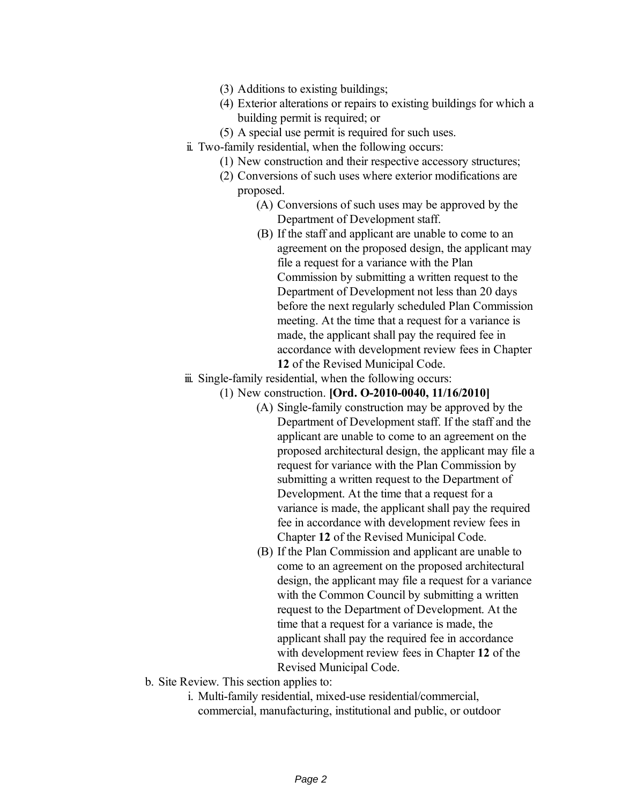- (3) Additions to existing buildings;
- (4) Exterior alterations or repairs to existing buildings for which a building permit is required; or
- (5) A special use permit is required for such uses.
- ii. Two-family residential, when the following occurs:
	- (1) New construction and their respective accessory structures;
		- (2) Conversions of such uses where exterior modifications are proposed.
			- (A) Conversions of such uses may be approved by the Department of Development staff.
			- (B) If the staff and applicant are unable to come to an agreement on the proposed design, the applicant may file a request for a variance with the Plan Commission by submitting a written request to the Department of Development not less than 20 days before the next regularly scheduled Plan Commission meeting. At the time that a request for a variance is made, the applicant shall pay the required fee in accordance with development review fees in Chapter **12** of the Revised Municipal Code.
- iii. Single-family residential, when the following occurs:
	- (1) New construction. **[Ord. O-2010-0040, 11/16/2010]**
		- (A) Single-family construction may be approved by the Department of Development staff. If the staff and the applicant are unable to come to an agreement on the proposed architectural design, the applicant may file a request for variance with the Plan Commission by submitting a written request to the Department of Development. At the time that a request for a variance is made, the applicant shall pay the required fee in accordance with development review fees in Chapter **12** of the Revised Municipal Code.
		- (B) If the Plan Commission and applicant are unable to come to an agreement on the proposed architectural design, the applicant may file a request for a variance with the Common Council by submitting a written request to the Department of Development. At the time that a request for a variance is made, the applicant shall pay the required fee in accordance with development review fees in Chapter **12** of the Revised Municipal Code.
- b. Site Review. This section applies to:
	- i. Multi-family residential, mixed-use residential/commercial, commercial, manufacturing, institutional and public, or outdoor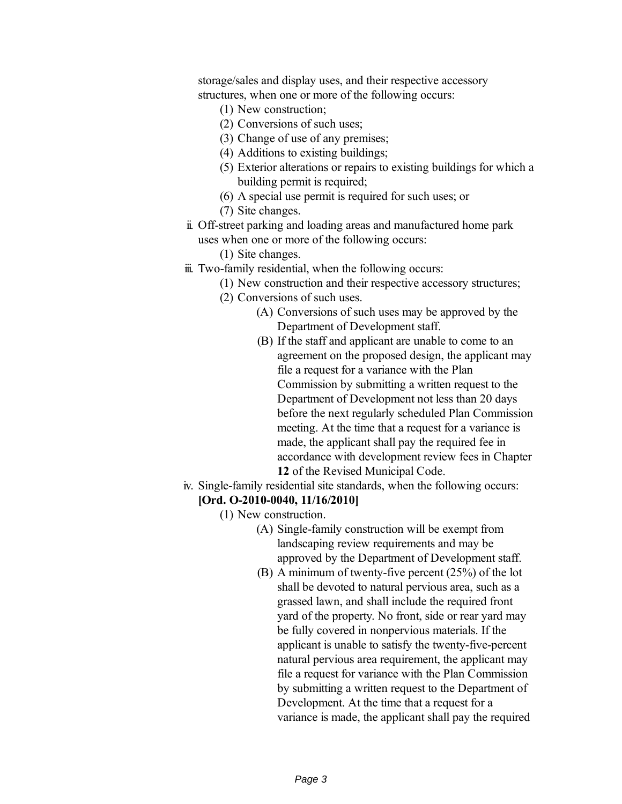storage/sales and display uses, and their respective accessory structures, when one or more of the following occurs:

- (1) New construction;
- (2) Conversions of such uses;
- (3) Change of use of any premises;
- (4) Additions to existing buildings;
- (5) Exterior alterations or repairs to existing buildings for which a building permit is required;
- (6) A special use permit is required for such uses; or
- (7) Site changes.
- ii. Off-street parking and loading areas and manufactured home park uses when one or more of the following occurs:
	- (1) Site changes.
- iii. Two-family residential, when the following occurs:
	- (1) New construction and their respective accessory structures;
	- (2) Conversions of such uses.
		- (A) Conversions of such uses may be approved by the Department of Development staff.
		- (B) If the staff and applicant are unable to come to an agreement on the proposed design, the applicant may file a request for a variance with the Plan Commission by submitting a written request to the Department of Development not less than 20 days before the next regularly scheduled Plan Commission meeting. At the time that a request for a variance is made, the applicant shall pay the required fee in accordance with development review fees in Chapter **12** of the Revised Municipal Code.
- iv. Single-family residential site standards, when the following occurs:
	- **[Ord. O-2010-0040, 11/16/2010]**
		- (1) New construction.
			- (A) Single-family construction will be exempt from landscaping review requirements and may be approved by the Department of Development staff.
			- (B) A minimum of twenty-five percent (25%) of the lot shall be devoted to natural pervious area, such as a grassed lawn, and shall include the required front yard of the property. No front, side or rear yard may be fully covered in nonpervious materials. If the applicant is unable to satisfy the twenty-five-percent natural pervious area requirement, the applicant may file a request for variance with the Plan Commission by submitting a written request to the Department of Development. At the time that a request for a variance is made, the applicant shall pay the required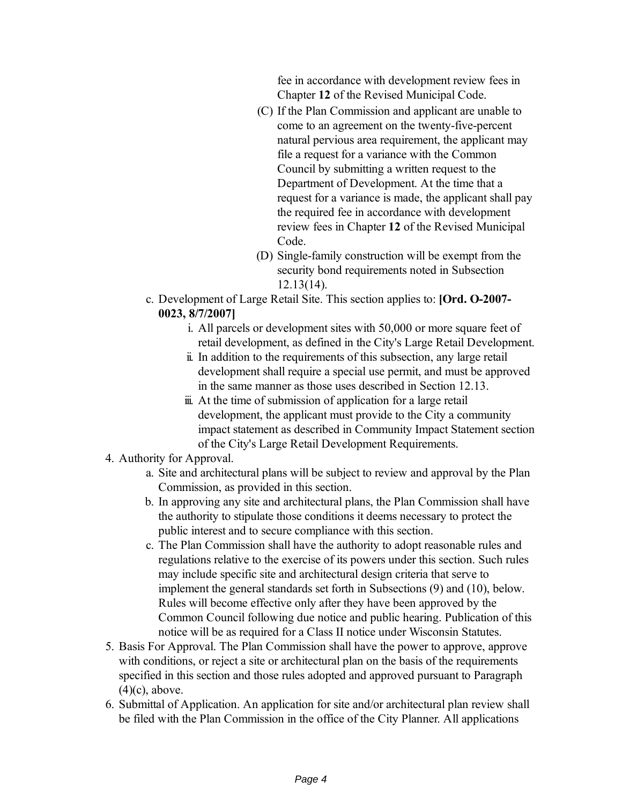fee in accordance with development review fees in Chapter **12** of the Revised Municipal Code.

- (C) If the Plan Commission and applicant are unable to come to an agreement on the twenty-five-percent natural pervious area requirement, the applicant may file a request for a variance with the Common Council by submitting a written request to the Department of Development. At the time that a request for a variance is made, the applicant shall pay the required fee in accordance with development review fees in Chapter **12** of the Revised Municipal Code.
- (D) Single-family construction will be exempt from the security bond requirements noted in Subsection 12.13(14).
- c. Development of Large Retail Site. This section applies to: **[Ord. O-2007- 0023, 8/7/2007]**
	- i. All parcels or development sites with 50,000 or more square feet of retail development, as defined in the City's Large Retail Development.
	- ii. In addition to the requirements of this subsection, any large retail development shall require a special use permit, and must be approved in the same manner as those uses described in Section 12.13.
	- iii. At the time of submission of application for a large retail development, the applicant must provide to the City a community impact statement as described in Community Impact Statement section of the City's Large Retail Development Requirements.
- 4. Authority for Approval.
	- a. Site and architectural plans will be subject to review and approval by the Plan Commission, as provided in this section.
	- b. In approving any site and architectural plans, the Plan Commission shall have the authority to stipulate those conditions it deems necessary to protect the public interest and to secure compliance with this section.
	- c. The Plan Commission shall have the authority to adopt reasonable rules and regulations relative to the exercise of its powers under this section. Such rules may include specific site and architectural design criteria that serve to implement the general standards set forth in Subsections (9) and (10), below. Rules will become effective only after they have been approved by the Common Council following due notice and public hearing. Publication of this notice will be as required for a Class II notice under Wisconsin Statutes.
- 5. Basis For Approval. The Plan Commission shall have the power to approve, approve with conditions, or reject a site or architectural plan on the basis of the requirements specified in this section and those rules adopted and approved pursuant to Paragraph  $(4)(c)$ , above.
- 6. Submittal of Application. An application for site and/or architectural plan review shall be filed with the Plan Commission in the office of the City Planner. All applications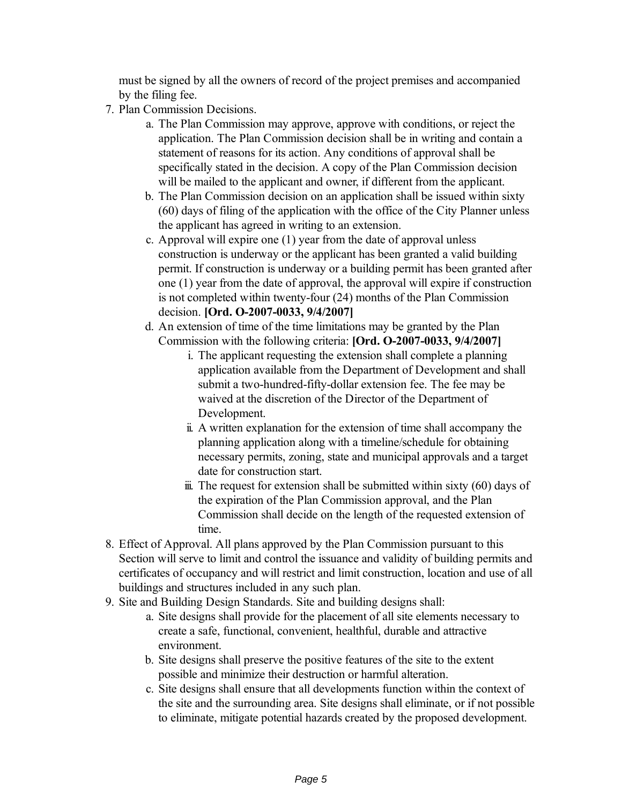must be signed by all the owners of record of the project premises and accompanied by the filing fee.

- 7. Plan Commission Decisions.
	- a. The Plan Commission may approve, approve with conditions, or reject the application. The Plan Commission decision shall be in writing and contain a statement of reasons for its action. Any conditions of approval shall be specifically stated in the decision. A copy of the Plan Commission decision will be mailed to the applicant and owner, if different from the applicant.
	- b. The Plan Commission decision on an application shall be issued within sixty (60) days of filing of the application with the office of the City Planner unless the applicant has agreed in writing to an extension.
	- c. Approval will expire one (1) year from the date of approval unless construction is underway or the applicant has been granted a valid building permit. If construction is underway or a building permit has been granted after one (1) year from the date of approval, the approval will expire if construction is not completed within twenty-four (24) months of the Plan Commission decision. **[Ord. O-2007-0033, 9/4/2007]**
	- d. An extension of time of the time limitations may be granted by the Plan Commission with the following criteria: **[Ord. O-2007-0033, 9/4/2007]**
		- i. The applicant requesting the extension shall complete a planning application available from the Department of Development and shall submit a two-hundred-fifty-dollar extension fee. The fee may be waived at the discretion of the Director of the Department of Development.
		- ii. A written explanation for the extension of time shall accompany the planning application along with a timeline/schedule for obtaining necessary permits, zoning, state and municipal approvals and a target date for construction start.
		- $\ddot{\text{m}}$ . The request for extension shall be submitted within sixty (60) days of the expiration of the Plan Commission approval, and the Plan Commission shall decide on the length of the requested extension of time.
- 8. Effect of Approval. All plans approved by the Plan Commission pursuant to this Section will serve to limit and control the issuance and validity of building permits and certificates of occupancy and will restrict and limit construction, location and use of all buildings and structures included in any such plan.
- 9. Site and Building Design Standards. Site and building designs shall:
	- a. Site designs shall provide for the placement of all site elements necessary to create a safe, functional, convenient, healthful, durable and attractive environment.
	- b. Site designs shall preserve the positive features of the site to the extent possible and minimize their destruction or harmful alteration.
	- c. Site designs shall ensure that all developments function within the context of the site and the surrounding area. Site designs shall eliminate, or if not possible to eliminate, mitigate potential hazards created by the proposed development.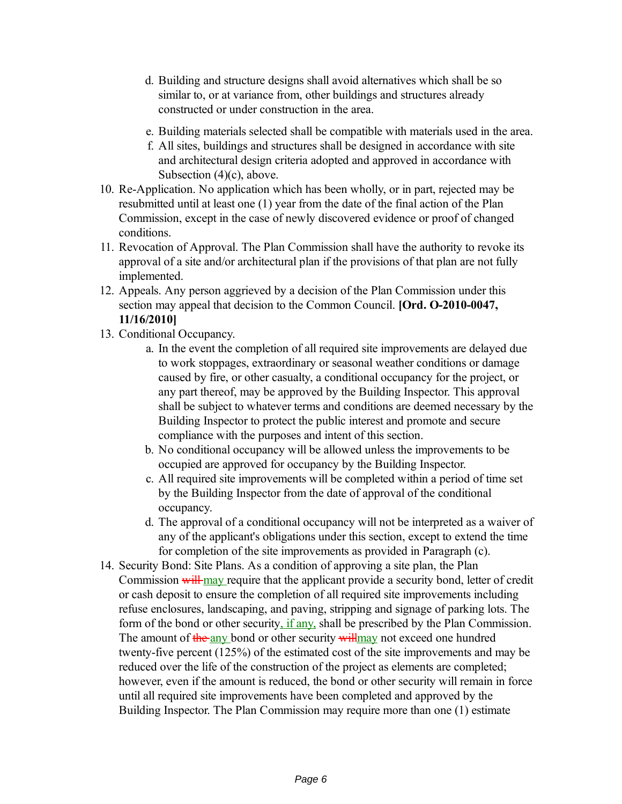- d. Building and structure designs shall avoid alternatives which shall be so similar to, or at variance from, other buildings and structures already constructed or under construction in the area.
- e. Building materials selected shall be compatible with materials used in the area.
- f. All sites, buildings and structures shall be designed in accordance with site and architectural design criteria adopted and approved in accordance with Subsection (4)(c), above.
- 10. Re-Application. No application which has been wholly, or in part, rejected may be resubmitted until at least one (1) year from the date of the final action of the Plan Commission, except in the case of newly discovered evidence or proof of changed conditions.
- 11. Revocation of Approval. The Plan Commission shall have the authority to revoke its approval of a site and/or architectural plan if the provisions of that plan are not fully implemented.
- 12. Appeals. Any person aggrieved by a decision of the Plan Commission under this section may appeal that decision to the Common Council. **[Ord. O-2010-0047, 11/16/2010]**
- 13. Conditional Occupancy.
	- a. In the event the completion of all required site improvements are delayed due to work stoppages, extraordinary or seasonal weather conditions or damage caused by fire, or other casualty, a conditional occupancy for the project, or any part thereof, may be approved by the Building Inspector. This approval shall be subject to whatever terms and conditions are deemed necessary by the Building Inspector to protect the public interest and promote and secure compliance with the purposes and intent of this section.
	- b. No conditional occupancy will be allowed unless the improvements to be occupied are approved for occupancy by the Building Inspector.
	- c. All required site improvements will be completed within a period of time set by the Building Inspector from the date of approval of the conditional occupancy.
	- d. The approval of a conditional occupancy will not be interpreted as a waiver of any of the applicant's obligations under this section, except to extend the time for completion of the site improvements as provided in Paragraph (c).
- 14. Security Bond: Site Plans. As a condition of approving a site plan, the Plan Commission will may require that the applicant provide a security bond, letter of credit or cash deposit to ensure the completion of all required site improvements including refuse enclosures, landscaping, and paving, stripping and signage of parking lots. The form of the bond or other security, if any, shall be prescribed by the Plan Commission. The amount of the any bond or other security will may not exceed one hundred twenty-five percent (125%) of the estimated cost of the site improvements and may be reduced over the life of the construction of the project as elements are completed; however, even if the amount is reduced, the bond or other security will remain in force until all required site improvements have been completed and approved by the Building Inspector. The Plan Commission may require more than one (1) estimate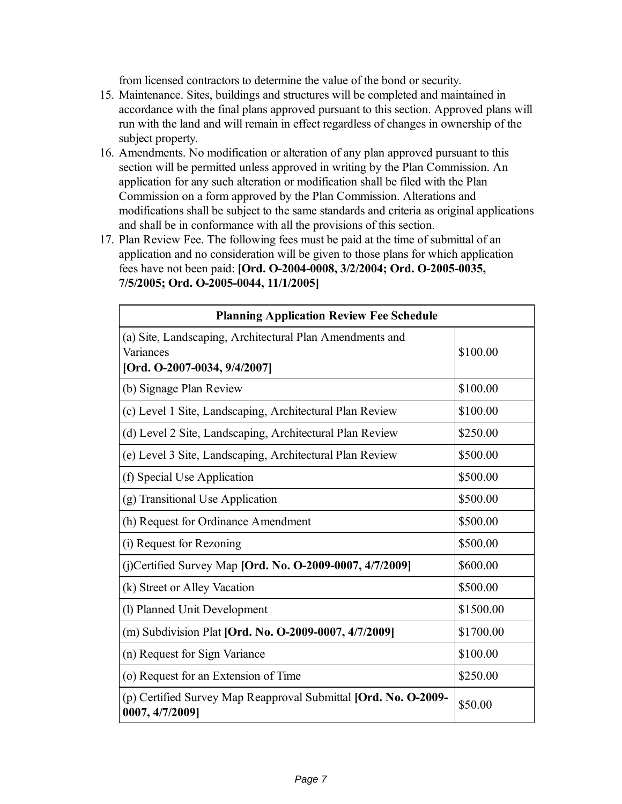from licensed contractors to determine the value of the bond or security.

- 15. Maintenance. Sites, buildings and structures will be completed and maintained in accordance with the final plans approved pursuant to this section. Approved plans will run with the land and will remain in effect regardless of changes in ownership of the subject property.
- 16. Amendments. No modification or alteration of any plan approved pursuant to this section will be permitted unless approved in writing by the Plan Commission. An application for any such alteration or modification shall be filed with the Plan Commission on a form approved by the Plan Commission. Alterations and modifications shall be subject to the same standards and criteria as original applications and shall be in conformance with all the provisions of this section.
- 17. Plan Review Fee. The following fees must be paid at the time of submittal of an application and no consideration will be given to those plans for which application fees have not been paid: **[Ord. O-2004-0008, 3/2/2004; Ord. O-2005-0035, 7/5/2005; Ord. O-2005-0044, 11/1/2005]**

| <b>Planning Application Review Fee Schedule</b>                                                       |           |  |  |  |
|-------------------------------------------------------------------------------------------------------|-----------|--|--|--|
| (a) Site, Landscaping, Architectural Plan Amendments and<br>Variances<br>[Ord. O-2007-0034, 9/4/2007] | \$100.00  |  |  |  |
| (b) Signage Plan Review                                                                               | \$100.00  |  |  |  |
| (c) Level 1 Site, Landscaping, Architectural Plan Review                                              | \$100.00  |  |  |  |
| (d) Level 2 Site, Landscaping, Architectural Plan Review                                              | \$250.00  |  |  |  |
| (e) Level 3 Site, Landscaping, Architectural Plan Review                                              | \$500.00  |  |  |  |
| (f) Special Use Application                                                                           | \$500.00  |  |  |  |
| (g) Transitional Use Application                                                                      | \$500.00  |  |  |  |
| (h) Request for Ordinance Amendment                                                                   | \$500.00  |  |  |  |
| (i) Request for Rezoning                                                                              | \$500.00  |  |  |  |
| (j)Certified Survey Map [Ord. No. O-2009-0007, 4/7/2009]                                              | \$600.00  |  |  |  |
| (k) Street or Alley Vacation                                                                          | \$500.00  |  |  |  |
| (1) Planned Unit Development                                                                          | \$1500.00 |  |  |  |
| (m) Subdivision Plat [Ord. No. O-2009-0007, 4/7/2009]                                                 | \$1700.00 |  |  |  |
| (n) Request for Sign Variance                                                                         | \$100.00  |  |  |  |
| (o) Request for an Extension of Time                                                                  | \$250.00  |  |  |  |
| (p) Certified Survey Map Reapproval Submittal <b>[Ord. No. O-2009-</b><br>0007, 4/7/2009]             | \$50.00   |  |  |  |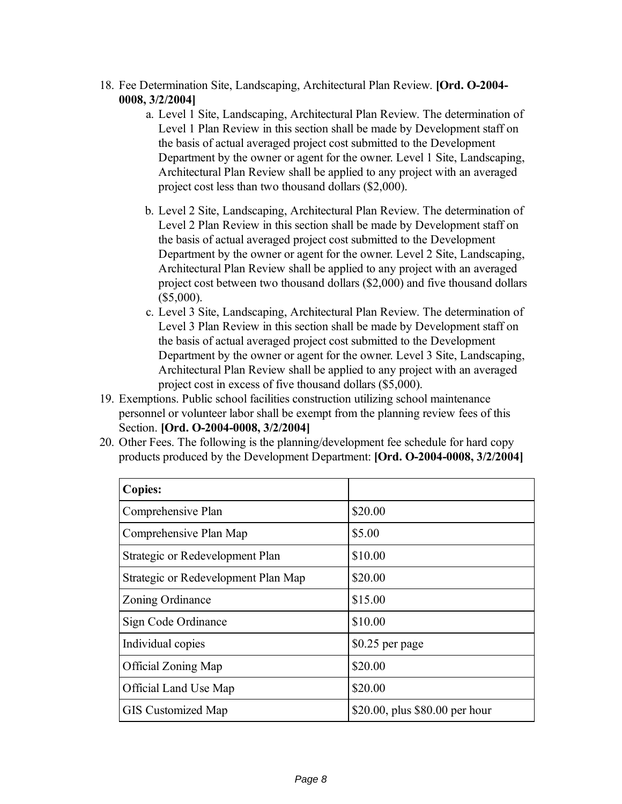- 18. Fee Determination Site, Landscaping, Architectural Plan Review. **[Ord. O-2004- 0008, 3/2/2004]**
	- a. Level 1 Site, Landscaping, Architectural Plan Review. The determination of Level 1 Plan Review in this section shall be made by Development staff on the basis of actual averaged project cost submitted to the Development Department by the owner or agent for the owner. Level 1 Site, Landscaping, Architectural Plan Review shall be applied to any project with an averaged project cost less than two thousand dollars (\$2,000).
	- b. Level 2 Site, Landscaping, Architectural Plan Review. The determination of Level 2 Plan Review in this section shall be made by Development staff on the basis of actual averaged project cost submitted to the Development Department by the owner or agent for the owner. Level 2 Site, Landscaping, Architectural Plan Review shall be applied to any project with an averaged project cost between two thousand dollars (\$2,000) and five thousand dollars (\$5,000).
	- c. Level 3 Site, Landscaping, Architectural Plan Review. The determination of Level 3 Plan Review in this section shall be made by Development staff on the basis of actual averaged project cost submitted to the Development Department by the owner or agent for the owner. Level 3 Site, Landscaping, Architectural Plan Review shall be applied to any project with an averaged project cost in excess of five thousand dollars (\$5,000).
- 19. Exemptions. Public school facilities construction utilizing school maintenance personnel or volunteer labor shall be exempt from the planning review fees of this Section. **[Ord. O-2004-0008, 3/2/2004]**
- 20. Other Fees. The following is the planning/development fee schedule for hard copy products produced by the Development Department: **[Ord. O-2004-0008, 3/2/2004]**

| <b>Copies:</b>                      |                                |
|-------------------------------------|--------------------------------|
| Comprehensive Plan                  | \$20.00                        |
| Comprehensive Plan Map              | \$5.00                         |
| Strategic or Redevelopment Plan     | \$10.00                        |
| Strategic or Redevelopment Plan Map | \$20.00                        |
| Zoning Ordinance                    | \$15.00                        |
| Sign Code Ordinance                 | \$10.00                        |
| Individual copies                   | $$0.25$ per page               |
| <b>Official Zoning Map</b>          | \$20.00                        |
| Official Land Use Map               | \$20.00                        |
| <b>GIS</b> Customized Map           | \$20.00, plus \$80.00 per hour |